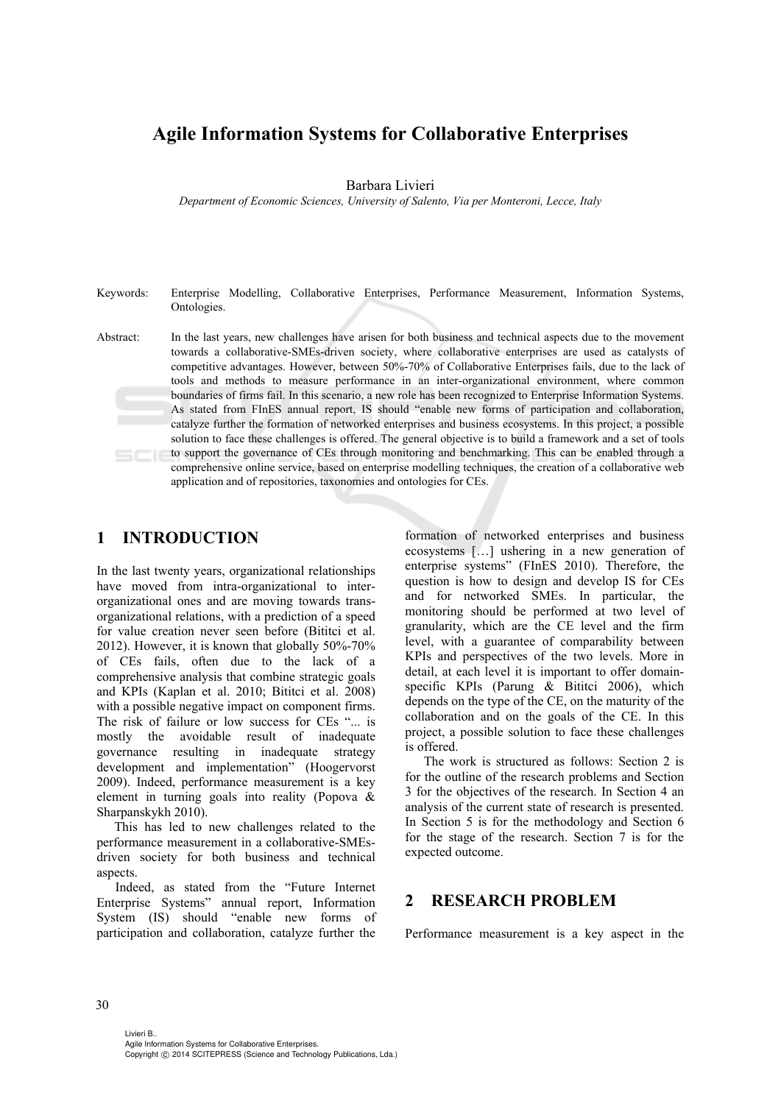# **Agile Information Systems for Collaborative Enterprises**

Barbara Livieri

*Department of Economic Sciences, University of Salento, Via per Monteroni, Lecce, Italy* 

Keywords: Enterprise Modelling, Collaborative Enterprises, Performance Measurement, Information Systems, Ontologies.

Abstract: In the last years, new challenges have arisen for both business and technical aspects due to the movement towards a collaborative-SMEs-driven society, where collaborative enterprises are used as catalysts of competitive advantages. However, between 50%-70% of Collaborative Enterprises fails, due to the lack of tools and methods to measure performance in an inter-organizational environment, where common boundaries of firms fail. In this scenario, a new role has been recognized to Enterprise Information Systems. As stated from FInES annual report, IS should "enable new forms of participation and collaboration, catalyze further the formation of networked enterprises and business ecosystems. In this project, a possible solution to face these challenges is offered. The general objective is to build a framework and a set of tools to support the governance of CEs through monitoring and benchmarking. This can be enabled through a comprehensive online service, based on enterprise modelling techniques, the creation of a collaborative web application and of repositories, taxonomies and ontologies for CEs.

### **1 INTRODUCTION**

In the last twenty years, organizational relationships have moved from intra-organizational to interorganizational ones and are moving towards transorganizational relations, with a prediction of a speed for value creation never seen before (Bititci et al. 2012). However, it is known that globally 50%-70% of CEs fails, often due to the lack of a comprehensive analysis that combine strategic goals and KPIs (Kaplan et al. 2010; Bititci et al. 2008) with a possible negative impact on component firms. The risk of failure or low success for CEs "... is mostly the avoidable result of inadequate governance resulting in inadequate strategy development and implementation" (Hoogervorst 2009). Indeed, performance measurement is a key element in turning goals into reality (Popova & Sharpanskykh 2010).

This has led to new challenges related to the performance measurement in a collaborative-SMEsdriven society for both business and technical aspects.

Indeed, as stated from the "Future Internet Enterprise Systems" annual report, Information System (IS) should "enable new forms of participation and collaboration, catalyze further the

formation of networked enterprises and business ecosystems […] ushering in a new generation of enterprise systems" (FInES 2010). Therefore, the question is how to design and develop IS for CEs and for networked SMEs. In particular, the monitoring should be performed at two level of granularity, which are the CE level and the firm level, with a guarantee of comparability between KPIs and perspectives of the two levels. More in detail, at each level it is important to offer domainspecific KPIs (Parung & Bititci 2006), which depends on the type of the CE, on the maturity of the collaboration and on the goals of the CE. In this project, a possible solution to face these challenges is offered.

The work is structured as follows: Section 2 is for the outline of the research problems and Section 3 for the objectives of the research. In Section 4 an analysis of the current state of research is presented. In Section 5 is for the methodology and Section 6 for the stage of the research. Section 7 is for the expected outcome.

### **2 RESEARCH PROBLEM**

Performance measurement is a key aspect in the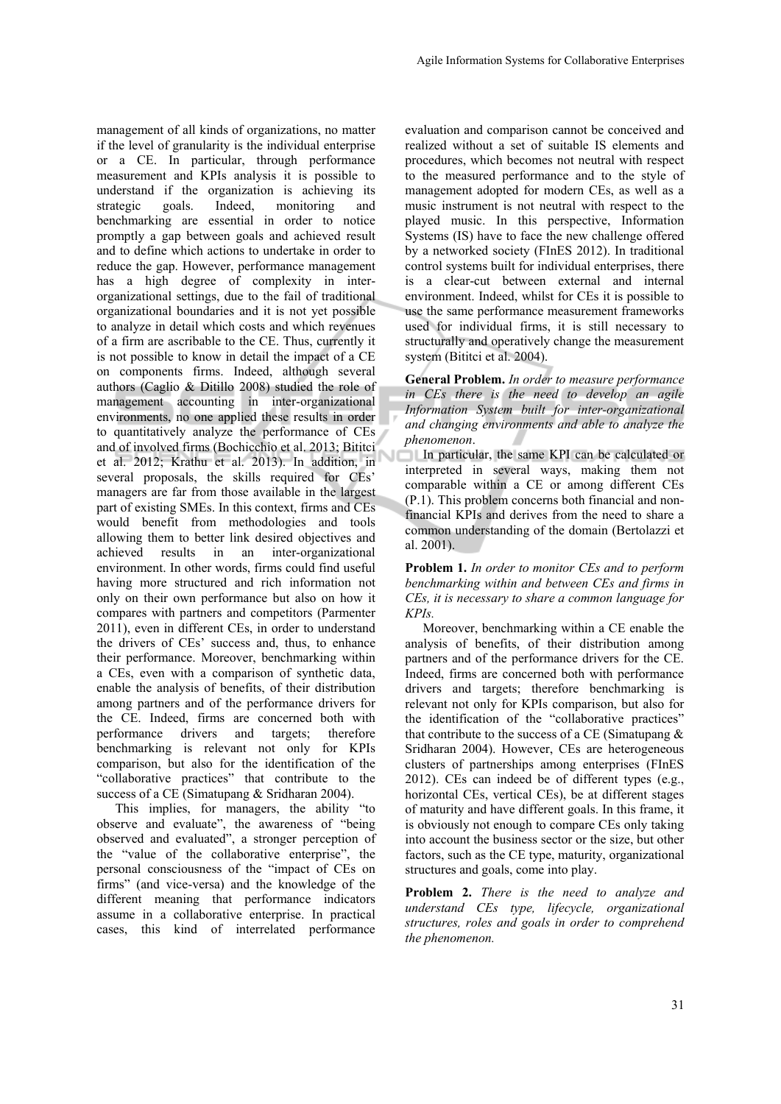management of all kinds of organizations, no matter if the level of granularity is the individual enterprise or a CE. In particular, through performance measurement and KPIs analysis it is possible to understand if the organization is achieving its strategic goals. Indeed, monitoring and benchmarking are essential in order to notice promptly a gap between goals and achieved result and to define which actions to undertake in order to reduce the gap. However, performance management has a high degree of complexity in interorganizational settings, due to the fail of traditional organizational boundaries and it is not yet possible to analyze in detail which costs and which revenues of a firm are ascribable to the CE. Thus, currently it is not possible to know in detail the impact of a CE on components firms. Indeed, although several authors (Caglio & Ditillo 2008) studied the role of management accounting in inter-organizational environments, no one applied these results in order to quantitatively analyze the performance of CEs and of involved firms (Bochicchio et al. 2013; Bititci et al. 2012; Krathu et al. 2013). In addition, in several proposals, the skills required for CEs' managers are far from those available in the largest part of existing SMEs. In this context, firms and CEs would benefit from methodologies and tools allowing them to better link desired objectives and achieved results in an inter-organizational environment. In other words, firms could find useful having more structured and rich information not only on their own performance but also on how it compares with partners and competitors (Parmenter 2011), even in different CEs, in order to understand the drivers of CEs' success and, thus, to enhance their performance. Moreover, benchmarking within a CEs, even with a comparison of synthetic data, enable the analysis of benefits, of their distribution among partners and of the performance drivers for the CE. Indeed, firms are concerned both with performance drivers and targets; therefore benchmarking is relevant not only for KPIs comparison, but also for the identification of the "collaborative practices" that contribute to the success of a CE (Simatupang & Sridharan 2004).

This implies, for managers, the ability "to observe and evaluate", the awareness of "being observed and evaluated", a stronger perception of the "value of the collaborative enterprise", the personal consciousness of the "impact of CEs on firms" (and vice-versa) and the knowledge of the different meaning that performance indicators assume in a collaborative enterprise. In practical cases, this kind of interrelated performance

evaluation and comparison cannot be conceived and realized without a set of suitable IS elements and procedures, which becomes not neutral with respect to the measured performance and to the style of management adopted for modern CEs, as well as a music instrument is not neutral with respect to the played music. In this perspective, Information Systems (IS) have to face the new challenge offered by a networked society (FInES 2012). In traditional control systems built for individual enterprises, there is a clear-cut between external and internal environment. Indeed, whilst for CEs it is possible to use the same performance measurement frameworks used for individual firms, it is still necessary to structurally and operatively change the measurement system (Bititci et al. 2004).

**General Problem.** *In order to measure performance in CEs there is the need to develop an agile Information System built for inter-organizational and changing environments and able to analyze the phenomenon*.

In particular, the same KPI can be calculated or interpreted in several ways, making them not comparable within a CE or among different CEs (P.1). This problem concerns both financial and nonfinancial KPIs and derives from the need to share a common understanding of the domain (Bertolazzi et al. 2001).

**Problem 1.** *In order to monitor CEs and to perform benchmarking within and between CEs and firms in CEs, it is necessary to share a common language for KPIs.* 

Moreover, benchmarking within a CE enable the analysis of benefits, of their distribution among partners and of the performance drivers for the CE. Indeed, firms are concerned both with performance drivers and targets; therefore benchmarking is relevant not only for KPIs comparison, but also for the identification of the "collaborative practices" that contribute to the success of a CE (Simatupang  $\&$ Sridharan 2004). However, CEs are heterogeneous clusters of partnerships among enterprises (FInES 2012). CEs can indeed be of different types (e.g., horizontal CEs, vertical CEs), be at different stages of maturity and have different goals. In this frame, it is obviously not enough to compare CEs only taking into account the business sector or the size, but other factors, such as the CE type, maturity, organizational structures and goals, come into play.

**Problem 2.** *There is the need to analyze and understand CEs type, lifecycle, organizational structures, roles and goals in order to comprehend the phenomenon.*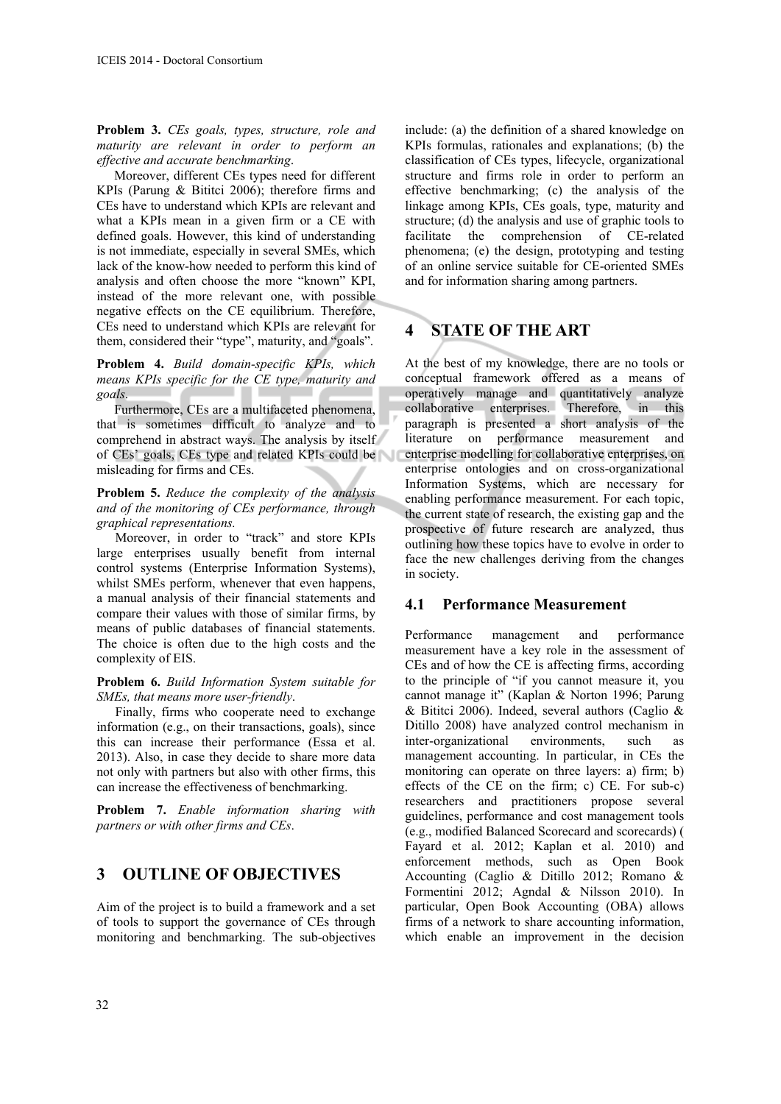**Problem 3.** *CEs goals, types, structure, role and maturity are relevant in order to perform an effective and accurate benchmarking*.

Moreover, different CEs types need for different KPIs (Parung & Bititci 2006); therefore firms and CEs have to understand which KPIs are relevant and what a KPIs mean in a given firm or a CE with defined goals. However, this kind of understanding is not immediate, especially in several SMEs, which lack of the know-how needed to perform this kind of analysis and often choose the more "known" KPI, instead of the more relevant one, with possible negative effects on the CE equilibrium. Therefore, CEs need to understand which KPIs are relevant for them, considered their "type", maturity, and "goals".

**Problem 4.** *Build domain-specific KPIs, which means KPIs specific for the CE type, maturity and goals*.

Furthermore, CEs are a multifaceted phenomena, that is sometimes difficult to analyze and to comprehend in abstract ways. The analysis by itself of CEs' goals, CEs type and related KPIs could be misleading for firms and CEs.

**Problem 5.** *Reduce the complexity of the analysis and of the monitoring of CEs performance, through graphical representations.* 

Moreover, in order to "track" and store KPIs large enterprises usually benefit from internal control systems (Enterprise Information Systems), whilst SMEs perform, whenever that even happens, a manual analysis of their financial statements and compare their values with those of similar firms, by means of public databases of financial statements. The choice is often due to the high costs and the complexity of EIS.

**Problem 6.** *Build Information System suitable for SMEs, that means more user-friendly*.

Finally, firms who cooperate need to exchange information (e.g., on their transactions, goals), since this can increase their performance (Essa et al. 2013). Also, in case they decide to share more data not only with partners but also with other firms, this can increase the effectiveness of benchmarking.

**Problem 7.** *Enable information sharing with partners or with other firms and CEs*.

### **3 OUTLINE OF OBJECTIVES**

Aim of the project is to build a framework and a set of tools to support the governance of CEs through monitoring and benchmarking. The sub-objectives

include: (a) the definition of a shared knowledge on KPIs formulas, rationales and explanations; (b) the classification of CEs types, lifecycle, organizational structure and firms role in order to perform an effective benchmarking; (c) the analysis of the linkage among KPIs, CEs goals, type, maturity and structure; (d) the analysis and use of graphic tools to facilitate the comprehension of CE-related phenomena; (e) the design, prototyping and testing of an online service suitable for CE-oriented SMEs and for information sharing among partners.

### **4 STATE OF THE ART**

At the best of my knowledge, there are no tools or conceptual framework offered as a means of operatively manage and quantitatively analyze collaborative enterprises. Therefore, in this paragraph is presented a short analysis of the literature on performance measurement and enterprise modelling for collaborative enterprises, on enterprise ontologies and on cross-organizational Information Systems, which are necessary for enabling performance measurement. For each topic, the current state of research, the existing gap and the prospective of future research are analyzed, thus outlining how these topics have to evolve in order to face the new challenges deriving from the changes in society.

#### **4.1 Performance Measurement**

Performance management and performance measurement have a key role in the assessment of CEs and of how the CE is affecting firms, according to the principle of "if you cannot measure it, you cannot manage it" (Kaplan & Norton 1996; Parung  $& Bittici 2006$ ). Indeed, several authors (Caglio  $&$ Ditillo 2008) have analyzed control mechanism in inter-organizational environments, such as management accounting. In particular, in CEs the monitoring can operate on three layers: a) firm; b) effects of the CE on the firm; c) CE. For sub-c) researchers and practitioners propose several guidelines, performance and cost management tools (e.g., modified Balanced Scorecard and scorecards) ( Fayard et al. 2012; Kaplan et al. 2010) and enforcement methods, such as Open Book Accounting (Caglio & Ditillo 2012; Romano & Formentini 2012; Agndal & Nilsson 2010). In particular, Open Book Accounting (OBA) allows firms of a network to share accounting information, which enable an improvement in the decision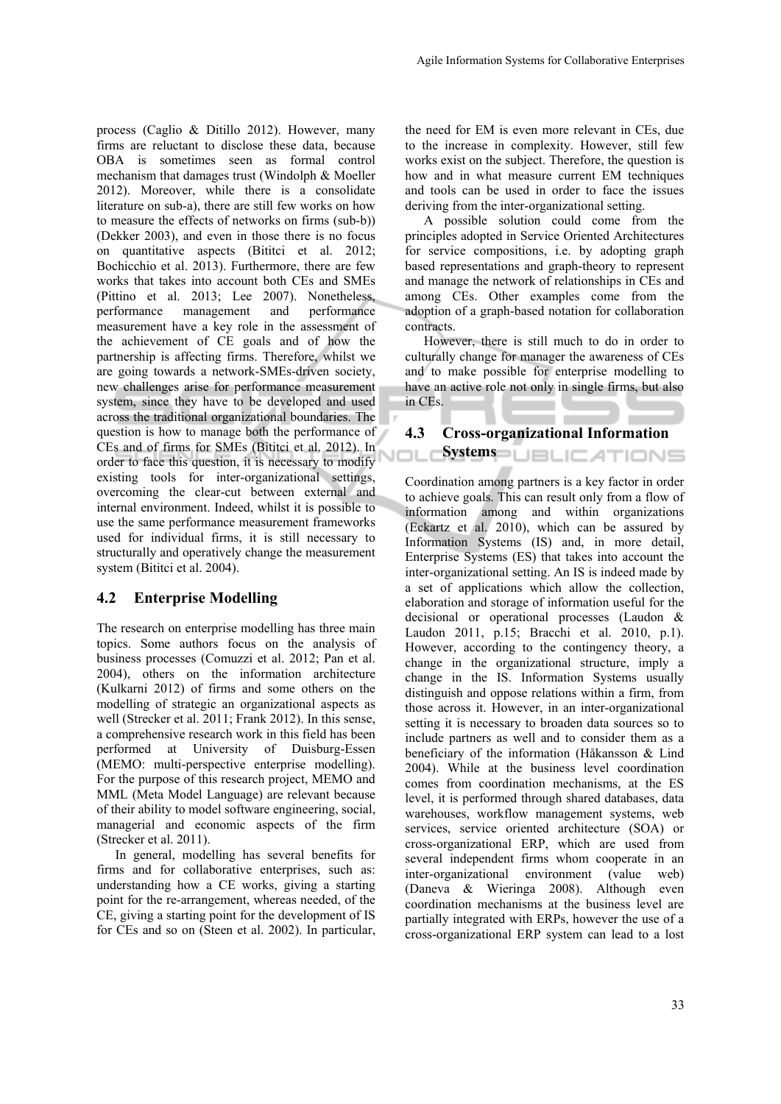process (Caglio & Ditillo 2012). However, many firms are reluctant to disclose these data, because OBA is sometimes seen as formal control mechanism that damages trust (Windolph & Moeller 2012). Moreover, while there is a consolidate literature on sub-a), there are still few works on how to measure the effects of networks on firms (sub-b)) (Dekker 2003), and even in those there is no focus on quantitative aspects (Bititci et al. 2012; Bochicchio et al. 2013). Furthermore, there are few works that takes into account both CEs and SMEs (Pittino et al. 2013; Lee 2007). Nonetheless, performance management and performance measurement have a key role in the assessment of the achievement of CE goals and of how the partnership is affecting firms. Therefore, whilst we are going towards a network-SMEs-driven society, new challenges arise for performance measurement system, since they have to be developed and used across the traditional organizational boundaries. The question is how to manage both the performance of CEs and of firms for SMEs (Bititci et al. 2012). In order to face this question, it is necessary to modify existing tools for inter-organizational settings, overcoming the clear-cut between external and internal environment. Indeed, whilst it is possible to use the same performance measurement frameworks used for individual firms, it is still necessary to structurally and operatively change the measurement system (Bititci et al. 2004).

#### **4.2 Enterprise Modelling**

The research on enterprise modelling has three main topics. Some authors focus on the analysis of business processes (Comuzzi et al. 2012; Pan et al. 2004), others on the information architecture (Kulkarni 2012) of firms and some others on the modelling of strategic an organizational aspects as well (Strecker et al. 2011; Frank 2012). In this sense, a comprehensive research work in this field has been performed at University of Duisburg-Essen (MEMO: multi-perspective enterprise modelling). For the purpose of this research project, MEMO and MML (Meta Model Language) are relevant because of their ability to model software engineering, social, managerial and economic aspects of the firm (Strecker et al. 2011).

In general, modelling has several benefits for firms and for collaborative enterprises, such as: understanding how a CE works, giving a starting point for the re-arrangement, whereas needed, of the CE, giving a starting point for the development of IS for CEs and so on (Steen et al. 2002). In particular,

the need for EM is even more relevant in CEs, due to the increase in complexity. However, still few works exist on the subject. Therefore, the question is how and in what measure current EM techniques and tools can be used in order to face the issues deriving from the inter-organizational setting.

A possible solution could come from the principles adopted in Service Oriented Architectures for service compositions, i.e. by adopting graph based representations and graph-theory to represent and manage the network of relationships in CEs and among CEs. Other examples come from the adoption of a graph-based notation for collaboration contracts.

However, there is still much to do in order to culturally change for manager the awareness of CEs and to make possible for enterprise modelling to have an active role not only in single firms, but also in CEs.

#### **4.3 Cross-organizational Information**

Systems **DBLICATIONS** 

Coordination among partners is a key factor in order to achieve goals. This can result only from a flow of information among and within organizations (Eckartz et al. 2010), which can be assured by Information Systems (IS) and, in more detail, Enterprise Systems (ES) that takes into account the inter-organizational setting. An IS is indeed made by a set of applications which allow the collection, elaboration and storage of information useful for the decisional or operational processes (Laudon & Laudon 2011, p.15; Bracchi et al. 2010, p.1). However, according to the contingency theory, a change in the organizational structure, imply a change in the IS. Information Systems usually distinguish and oppose relations within a firm, from those across it. However, in an inter-organizational setting it is necessary to broaden data sources so to include partners as well and to consider them as a beneficiary of the information (Håkansson & Lind 2004). While at the business level coordination comes from coordination mechanisms, at the ES level, it is performed through shared databases, data warehouses, workflow management systems, web services, service oriented architecture (SOA) or cross-organizational ERP, which are used from several independent firms whom cooperate in an inter-organizational environment (value web) (Daneva & Wieringa 2008). Although even coordination mechanisms at the business level are partially integrated with ERPs, however the use of a cross-organizational ERP system can lead to a lost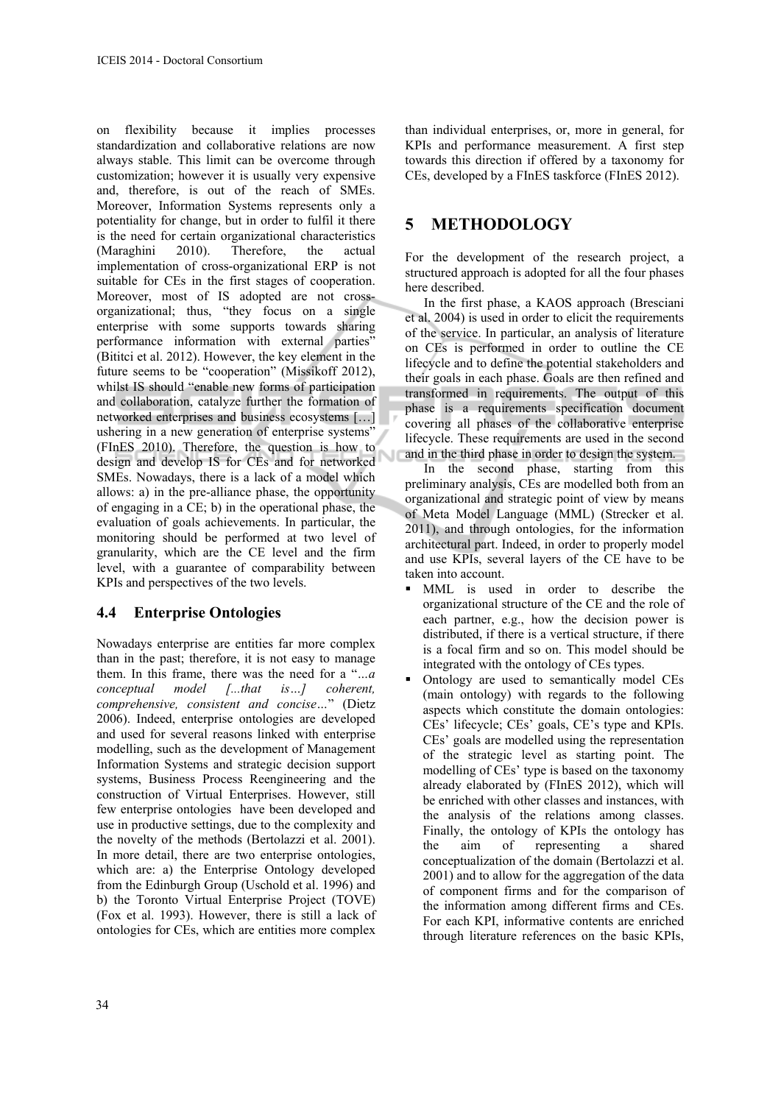on flexibility because it implies processes standardization and collaborative relations are now always stable. This limit can be overcome through customization; however it is usually very expensive and, therefore, is out of the reach of SMEs. Moreover, Information Systems represents only a potentiality for change, but in order to fulfil it there is the need for certain organizational characteristics (Maraghini 2010). Therefore, the actual implementation of cross-organizational ERP is not suitable for CEs in the first stages of cooperation. Moreover, most of IS adopted are not crossorganizational; thus, "they focus on a single enterprise with some supports towards sharing performance information with external parties" (Bititci et al. 2012). However, the key element in the future seems to be "cooperation" (Missikoff 2012), whilst IS should "enable new forms of participation and collaboration, catalyze further the formation of networked enterprises and business ecosystems […] ushering in a new generation of enterprise systems" (FInES 2010). Therefore, the question is how to design and develop IS for CEs and for networked SMEs. Nowadays, there is a lack of a model which allows: a) in the pre-alliance phase, the opportunity of engaging in a CE; b) in the operational phase, the evaluation of goals achievements. In particular, the monitoring should be performed at two level of granularity, which are the CE level and the firm level, with a guarantee of comparability between KPIs and perspectives of the two levels.

#### **4.4 Enterprise Ontologies**

Nowadays enterprise are entities far more complex than in the past; therefore, it is not easy to manage them. In this frame, there was the need for a "*…a conceptual model [...that is…] coherent, comprehensive, consistent and concise…*" (Dietz 2006). Indeed, enterprise ontologies are developed and used for several reasons linked with enterprise modelling, such as the development of Management Information Systems and strategic decision support systems, Business Process Reengineering and the construction of Virtual Enterprises. However, still few enterprise ontologies have been developed and use in productive settings, due to the complexity and the novelty of the methods (Bertolazzi et al. 2001). In more detail, there are two enterprise ontologies, which are: a) the Enterprise Ontology developed from the Edinburgh Group (Uschold et al. 1996) and b) the Toronto Virtual Enterprise Project (TOVE) (Fox et al. 1993). However, there is still a lack of ontologies for CEs, which are entities more complex

than individual enterprises, or, more in general, for KPIs and performance measurement. A first step towards this direction if offered by a taxonomy for CEs, developed by a FInES taskforce (FInES 2012).

### **5 METHODOLOGY**

For the development of the research project, a structured approach is adopted for all the four phases here described.

In the first phase, a KAOS approach (Bresciani et al. 2004) is used in order to elicit the requirements of the service. In particular, an analysis of literature on CEs is performed in order to outline the CE lifecycle and to define the potential stakeholders and their goals in each phase. Goals are then refined and transformed in requirements. The output of this phase is a requirements specification document covering all phases of the collaborative enterprise lifecycle. These requirements are used in the second and in the third phase in order to design the system.

In the second phase, starting from this preliminary analysis, CEs are modelled both from an organizational and strategic point of view by means of Meta Model Language (MML) (Strecker et al. 2011), and through ontologies, for the information architectural part. Indeed, in order to properly model and use KPIs, several layers of the CE have to be taken into account.

- MML is used in order to describe the organizational structure of the CE and the role of each partner, e.g., how the decision power is distributed, if there is a vertical structure, if there is a focal firm and so on. This model should be integrated with the ontology of CEs types.
- Ontology are used to semantically model CEs (main ontology) with regards to the following aspects which constitute the domain ontologies: CEs' lifecycle; CEs' goals, CE's type and KPIs. CEs' goals are modelled using the representation of the strategic level as starting point. The modelling of CEs' type is based on the taxonomy already elaborated by (FInES 2012), which will be enriched with other classes and instances, with the analysis of the relations among classes. Finally, the ontology of KPIs the ontology has the aim of representing a shared conceptualization of the domain (Bertolazzi et al. 2001) and to allow for the aggregation of the data of component firms and for the comparison of the information among different firms and CEs. For each KPI, informative contents are enriched through literature references on the basic KPIs,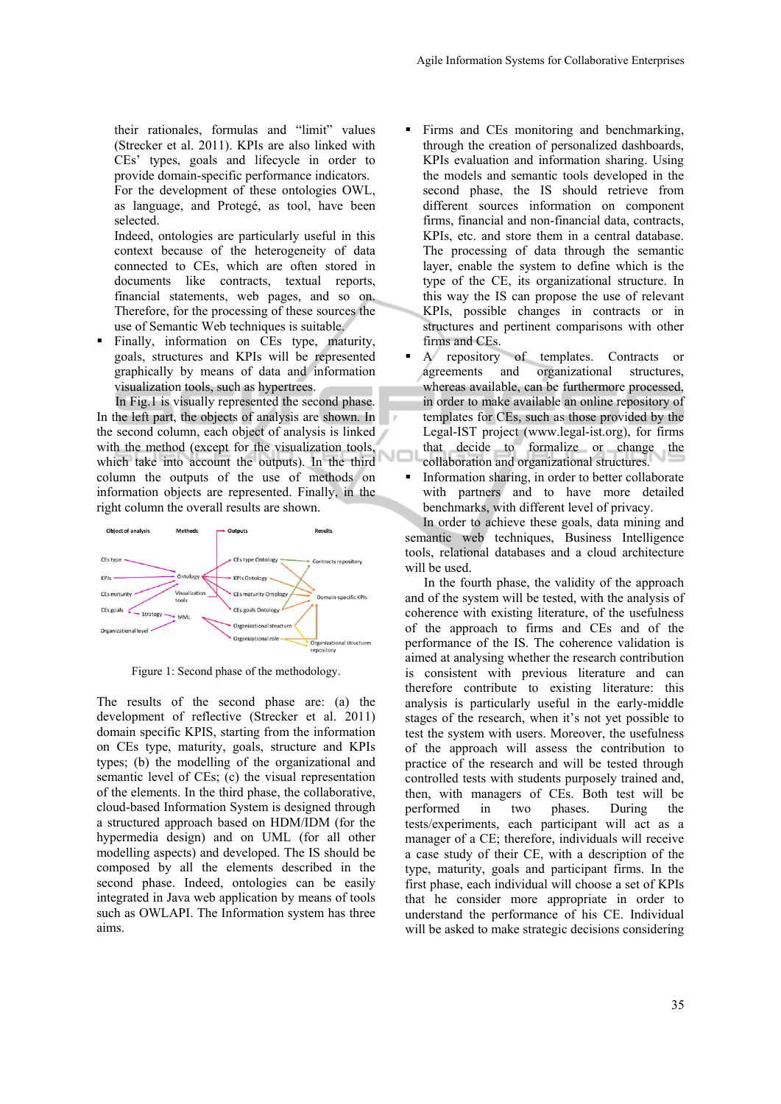their rationales, formulas and "limit" values (Strecker et al. 2011). KPIs are also linked with CEs' types, goals and lifecycle in order to provide domain-specific performance indicators. For the development of these ontologies OWL, as language, and Protegé, as tool, have been selected.

Indeed, ontologies are particularly useful in this context because of the heterogeneity of data connected to CEs, which are often stored in documents like contracts, textual reports, financial statements, web pages, and so on. Therefore, for the processing of these sources the use of Semantic Web techniques is suitable.

Finally, information on CEs type, maturity, goals, structures and KPIs will be represented graphically by means of data and information visualization tools, such as hypertrees.

In Fig.1 is visually represented the second phase. In the left part, the objects of analysis are shown. In the second column, each object of analysis is linked with the method (except for the visualization tools, which take into account the outputs). In the third column the outputs of the use of methods on information objects are represented. Finally, in the right column the overall results are shown.



Figure 1: Second phase of the methodology.

The results of the second phase are: (a) the development of reflective (Strecker et al. 2011) domain specific KPIS, starting from the information on CEs type, maturity, goals, structure and KPIs types; (b) the modelling of the organizational and semantic level of CEs; (c) the visual representation of the elements. In the third phase, the collaborative, cloud-based Information System is designed through a structured approach based on HDM/IDM (for the hypermedia design) and on UML (for all other modelling aspects) and developed. The IS should be composed by all the elements described in the second phase. Indeed, ontologies can be easily integrated in Java web application by means of tools such as OWLAPI. The Information system has three aims.

- Firms and CEs monitoring and benchmarking, through the creation of personalized dashboards, KPIs evaluation and information sharing. Using the models and semantic tools developed in the second phase, the IS should retrieve from different sources information on component firms, financial and non-financial data, contracts, KPIs, etc. and store them in a central database. The processing of data through the semantic layer, enable the system to define which is the type of the CE, its organizational structure. In this way the IS can propose the use of relevant KPIs, possible changes in contracts or in structures and pertinent comparisons with other firms and CEs.
- A repository of templates. Contracts or agreements and organizational structures, whereas available, can be furthermore processed, in order to make available an online repository of templates for CEs, such as those provided by the Legal-IST project (www.legal-ist.org), for firms that decide to formalize or change the collaboration and organizational structures.
- Information sharing, in order to better collaborate with partners and to have more detailed benchmarks, with different level of privacy.

In order to achieve these goals, data mining and semantic web techniques, Business Intelligence tools, relational databases and a cloud architecture will be used.

In the fourth phase, the validity of the approach and of the system will be tested, with the analysis of coherence with existing literature, of the usefulness of the approach to firms and CEs and of the performance of the IS. The coherence validation is aimed at analysing whether the research contribution is consistent with previous literature and can therefore contribute to existing literature: this analysis is particularly useful in the early-middle stages of the research, when it's not yet possible to test the system with users. Moreover, the usefulness of the approach will assess the contribution to practice of the research and will be tested through controlled tests with students purposely trained and, then, with managers of CEs. Both test will be performed in two phases. During the tests/experiments, each participant will act as a manager of a CE; therefore, individuals will receive a case study of their CE, with a description of the type, maturity, goals and participant firms. In the first phase, each individual will choose a set of KPIs that he consider more appropriate in order to understand the performance of his CE. Individual will be asked to make strategic decisions considering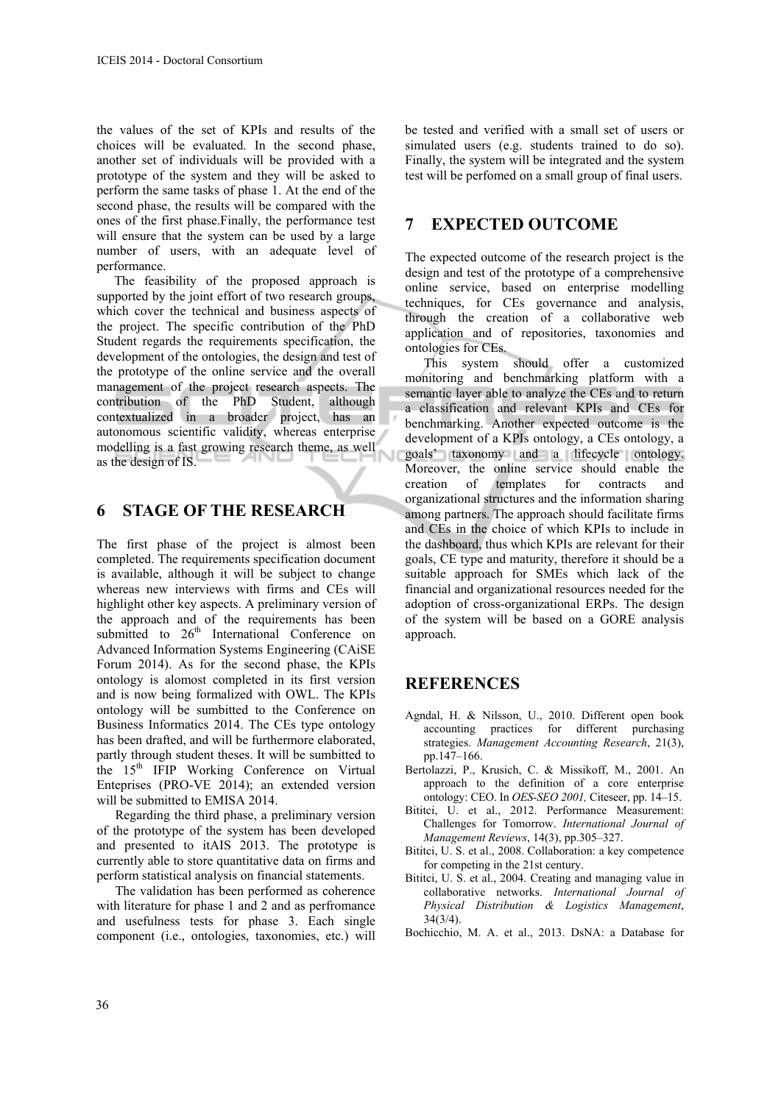the values of the set of KPIs and results of the choices will be evaluated. In the second phase, another set of individuals will be provided with a prototype of the system and they will be asked to perform the same tasks of phase 1. At the end of the second phase, the results will be compared with the ones of the first phase.Finally, the performance test will ensure that the system can be used by a large number of users, with an adequate level of performance.

The feasibility of the proposed approach is supported by the joint effort of two research groups, which cover the technical and business aspects of the project. The specific contribution of the PhD Student regards the requirements specification, the development of the ontologies, the design and test of the prototype of the online service and the overall management of the project research aspects. The contribution of the PhD Student, although contextualized in a broader project, has an autonomous scientific validity, whereas enterprise modelling is a fast growing research theme, as well as the design of IS.

### **6 STAGE OF THE RESEARCH**

The first phase of the project is almost been completed. The requirements specification document is available, although it will be subject to change whereas new interviews with firms and CEs will highlight other key aspects. A preliminary version of the approach and of the requirements has been submitted to  $26<sup>th</sup>$  International Conference on Advanced Information Systems Engineering (CAiSE Forum 2014). As for the second phase, the KPIs ontology is alomost completed in its first version and is now being formalized with OWL. The KPIs ontology will be sumbitted to the Conference on Business Informatics 2014. The CEs type ontology has been drafted, and will be furthermore elaborated, partly through student theses. It will be sumbitted to the 15<sup>th</sup> IFIP Working Conference on Virtual Enteprises (PRO-VE 2014); an extended version will be submitted to EMISA 2014.

Regarding the third phase, a preliminary version of the prototype of the system has been developed and presented to itAIS 2013. The prototype is currently able to store quantitative data on firms and perform statistical analysis on financial statements.

The validation has been performed as coherence with literature for phase 1 and 2 and as perfromance and usefulness tests for phase 3. Each single component (i.e., ontologies, taxonomies, etc.) will

be tested and verified with a small set of users or simulated users (e.g. students trained to do so). Finally, the system will be integrated and the system test will be perfomed on a small group of final users.

### **7 EXPECTED OUTCOME**

The expected outcome of the research project is the design and test of the prototype of a comprehensive online service, based on enterprise modelling techniques, for CEs governance and analysis, through the creation of a collaborative web application and of repositories, taxonomies and ontologies for CEs.

This system should offer a customized monitoring and benchmarking platform with a semantic layer able to analyze the CEs and to return a classification and relevant KPIs and CEs for benchmarking. Another expected outcome is the development of a KPIs ontology, a CEs ontology, a goals' taxonomy and a lifecycle ontology. Moreover, the online service should enable the creation of templates for contracts and organizational structures and the information sharing among partners. The approach should facilitate firms and CEs in the choice of which KPIs to include in the dashboard, thus which KPIs are relevant for their goals, CE type and maturity, therefore it should be a suitable approach for SMEs which lack of the financial and organizational resources needed for the adoption of cross-organizational ERPs. The design of the system will be based on a GORE analysis approach.

## **REFERENCES**

- Agndal, H. & Nilsson, U., 2010. Different open book accounting practices for different purchasing strategies. *Management Accounting Research*, 21(3), pp.147–166.
- Bertolazzi, P., Krusich, C. & Missikoff, M., 2001. An approach to the definition of a core enterprise ontology: CEO. In *OES-SEO 2001,* Citeseer, pp. 14–15.
- Bititci, U. et al., 2012. Performance Measurement: Challenges for Tomorrow. *International Journal of Management Reviews*, 14(3), pp.305–327.
- Bititci, U. S. et al., 2008. Collaboration: a key competence for competing in the 21st century.
- Bititci, U. S. et al., 2004. Creating and managing value in collaborative networks. *International Journal of Physical Distribution & Logistics Management*, 34(3/4).
- Bochicchio, M. A. et al., 2013. DsNA: a Database for